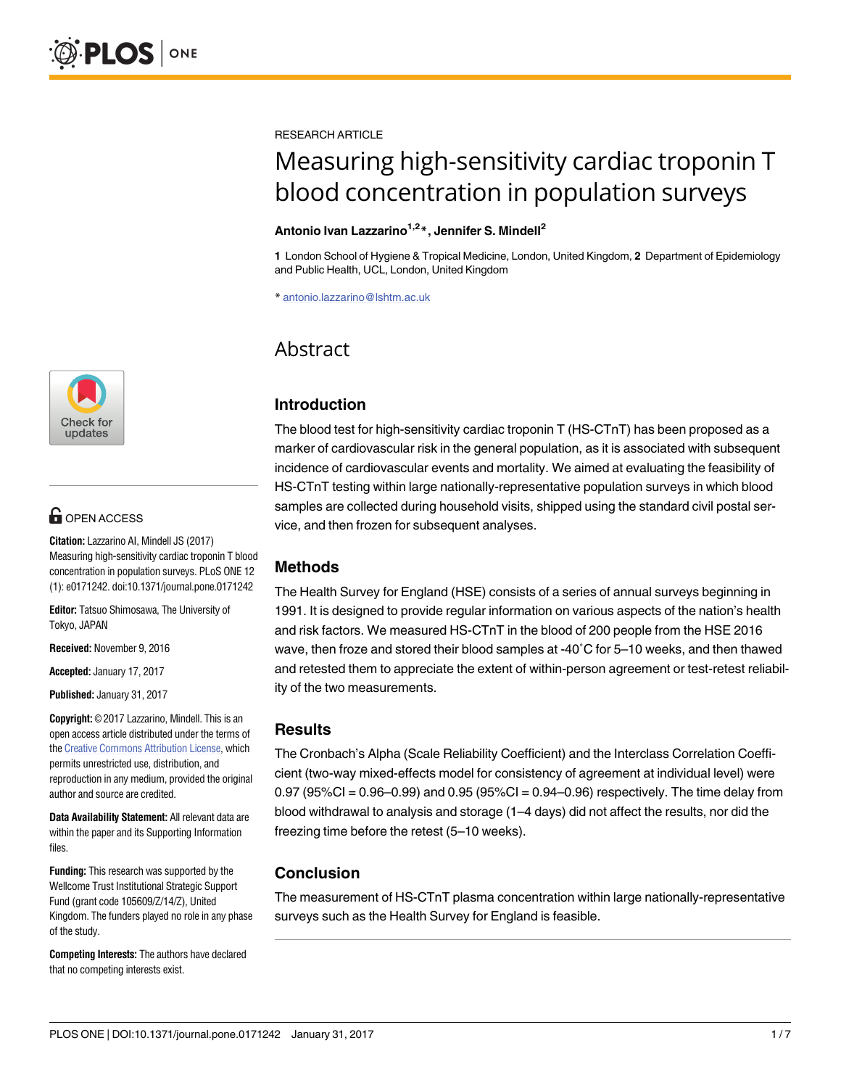

# **OPEN ACCESS**

**Citation:** Lazzarino AI, Mindell JS (2017) Measuring high-sensitivity cardiac troponin T blood concentration in population surveys. PLoS ONE 12 (1): e0171242. doi:10.1371/journal.pone.0171242

**Editor:** Tatsuo Shimosawa, The University of Tokyo, JAPAN

**Received:** November 9, 2016

**Accepted:** January 17, 2017

**Published:** January 31, 2017

**Copyright:** © 2017 Lazzarino, Mindell. This is an open access article distributed under the terms of the Creative [Commons](http://creativecommons.org/licenses/by/4.0/) Attribution License, which permits unrestricted use, distribution, and reproduction in any medium, provided the original author and source are credited.

**Data Availability Statement:** All relevant data are within the paper and its Supporting Information files.

**Funding:** This research was supported by the Wellcome Trust Institutional Strategic Support Fund (grant code 105609/Z/14/Z), United Kingdom. The funders played no role in any phase of the study.

**Competing Interests:** The authors have declared that no competing interests exist.

RESEARCH ARTICLE

# Measuring high-sensitivity cardiac troponin T blood concentration in population surveys

# **Antonio Ivan Lazzarino1,2\*, Jennifer S. Mindell2**

**1** London School of Hygiene & Tropical Medicine, London, United Kingdom, **2** Department of Epidemiology and Public Health, UCL, London, United Kingdom

\* antonio.lazzarino@lshtm.ac.uk

# Abstract

# **Introduction**

The blood test for high-sensitivity cardiac troponin T (HS-CTnT) has been proposed as a marker of cardiovascular risk in the general population, as it is associated with subsequent incidence of cardiovascular events and mortality. We aimed at evaluating the feasibility of HS-CTnT testing within large nationally-representative population surveys in which blood samples are collected during household visits, shipped using the standard civil postal service, and then frozen for subsequent analyses.

# **Methods**

The Health Survey for England (HSE) consists of a series of annual surveys beginning in 1991. It is designed to provide regular information on various aspects of the nation's health and risk factors. We measured HS-CTnT in the blood of 200 people from the HSE 2016 wave, then froze and stored their blood samples at -40˚C for 5–10 weeks, and then thawed and retested them to appreciate the extent of within-person agreement or test-retest reliability of the two measurements.

# **Results**

The Cronbach's Alpha (Scale Reliability Coefficient) and the Interclass Correlation Coefficient (two-way mixed-effects model for consistency of agreement at individual level) were 0.97 (95%CI = 0.96–0.99) and 0.95 (95%CI = 0.94–0.96) respectively. The time delay from blood withdrawal to analysis and storage (1–4 days) did not affect the results, nor did the freezing time before the retest (5–10 weeks).

# **Conclusion**

The measurement of HS-CTnT plasma concentration within large nationally-representative surveys such as the Health Survey for England is feasible.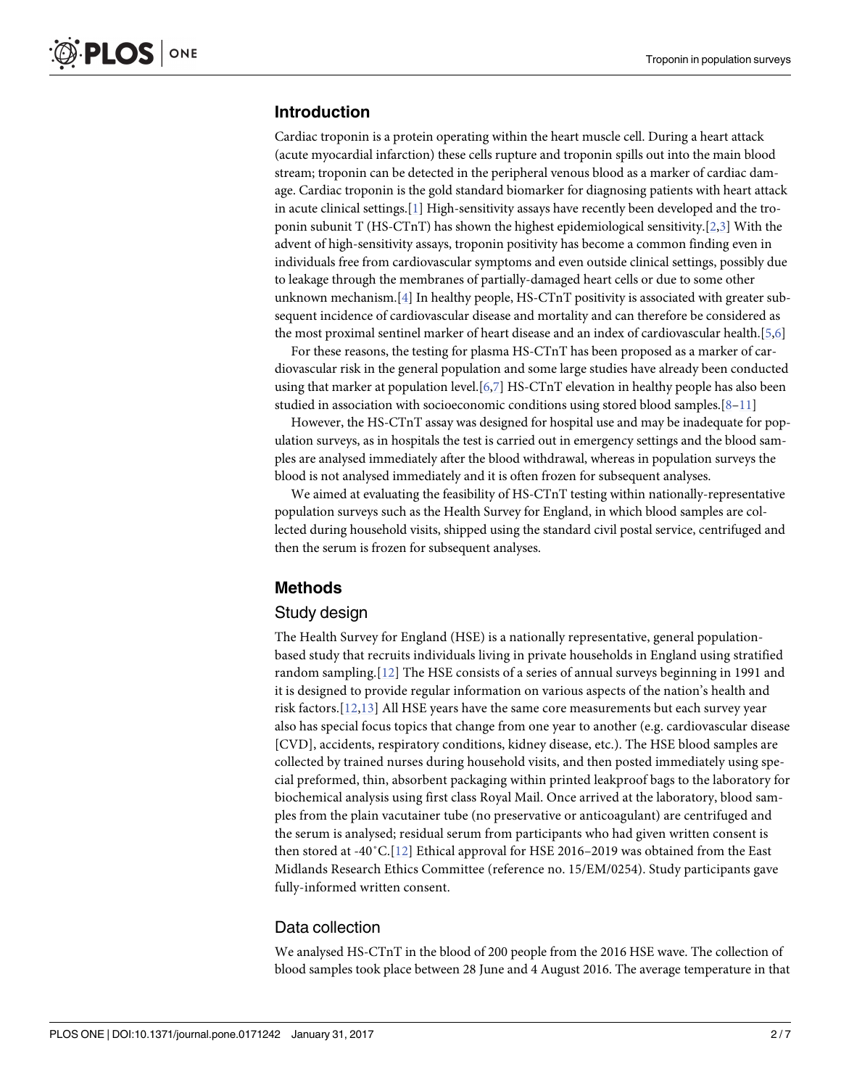# <span id="page-1-0"></span>**Introduction**

Cardiac troponin is a protein operating within the heart muscle cell. During a heart attack (acute myocardial infarction) these cells rupture and troponin spills out into the main blood stream; troponin can be detected in the peripheral venous blood as a marker of cardiac damage. Cardiac troponin is the gold standard biomarker for diagnosing patients with heart attack in acute clinical settings.[\[1\]](#page-5-0) High-sensitivity assays have recently been developed and the troponin subunit T (HS-CTnT) has shown the highest epidemiological sensitivity.[\[2,3\]](#page-5-0) With the advent of high-sensitivity assays, troponin positivity has become a common finding even in individuals free from cardiovascular symptoms and even outside clinical settings, possibly due to leakage through the membranes of partially-damaged heart cells or due to some other unknown mechanism.[[4](#page-5-0)] In healthy people, HS-CTnT positivity is associated with greater subsequent incidence of cardiovascular disease and mortality and can therefore be considered as the most proximal sentinel marker of heart disease and an index of cardiovascular health.[\[5,6](#page-5-0)]

For these reasons, the testing for plasma HS-CTnT has been proposed as a marker of cardiovascular risk in the general population and some large studies have already been conducted using that marker at population level.[\[6,](#page-5-0)[7\]](#page-6-0) HS-CTnT elevation in healthy people has also been studied in association with socioeconomic conditions using stored blood samples.[\[8–11\]](#page-6-0)

However, the HS-CTnT assay was designed for hospital use and may be inadequate for population surveys, as in hospitals the test is carried out in emergency settings and the blood samples are analysed immediately after the blood withdrawal, whereas in population surveys the blood is not analysed immediately and it is often frozen for subsequent analyses.

We aimed at evaluating the feasibility of HS-CTnT testing within nationally-representative population surveys such as the Health Survey for England, in which blood samples are collected during household visits, shipped using the standard civil postal service, centrifuged and then the serum is frozen for subsequent analyses.

#### **Methods**

#### Study design

The Health Survey for England (HSE) is a nationally representative, general populationbased study that recruits individuals living in private households in England using stratified random sampling.[[12\]](#page-6-0) The HSE consists of a series of annual surveys beginning in 1991 and it is designed to provide regular information on various aspects of the nation's health and risk factors.[[12,13\]](#page-6-0) All HSE years have the same core measurements but each survey year also has special focus topics that change from one year to another (e.g. cardiovascular disease [CVD], accidents, respiratory conditions, kidney disease, etc.). The HSE blood samples are collected by trained nurses during household visits, and then posted immediately using special preformed, thin, absorbent packaging within printed leakproof bags to the laboratory for biochemical analysis using first class Royal Mail. Once arrived at the laboratory, blood samples from the plain vacutainer tube (no preservative or anticoagulant) are centrifuged and the serum is analysed; residual serum from participants who had given written consent is then stored at -40˚C.[[12](#page-6-0)] Ethical approval for HSE 2016–2019 was obtained from the East Midlands Research Ethics Committee (reference no. 15/EM/0254). Study participants gave fully-informed written consent.

#### Data collection

We analysed HS-CTnT in the blood of 200 people from the 2016 HSE wave. The collection of blood samples took place between 28 June and 4 August 2016. The average temperature in that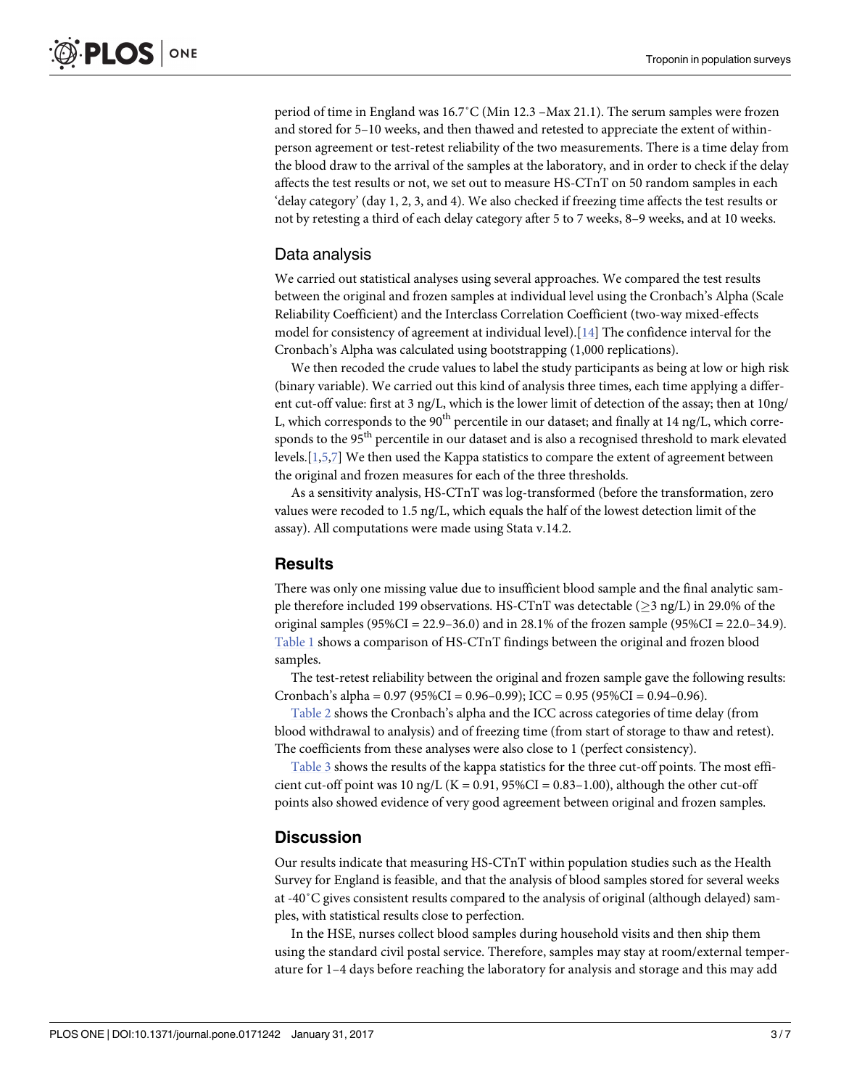<span id="page-2-0"></span>period of time in England was 16.7˚C (Min 12.3 –Max 21.1). The serum samples were frozen and stored for 5–10 weeks, and then thawed and retested to appreciate the extent of withinperson agreement or test-retest reliability of the two measurements. There is a time delay from the blood draw to the arrival of the samples at the laboratory, and in order to check if the delay affects the test results or not, we set out to measure HS-CTnT on 50 random samples in each 'delay category' (day 1, 2, 3, and 4). We also checked if freezing time affects the test results or not by retesting a third of each delay category after 5 to 7 weeks, 8–9 weeks, and at 10 weeks.

#### Data analysis

We carried out statistical analyses using several approaches. We compared the test results between the original and frozen samples at individual level using the Cronbach's Alpha (Scale Reliability Coefficient) and the Interclass Correlation Coefficient (two-way mixed-effects model for consistency of agreement at individual level).[\[14\]](#page-6-0) The confidence interval for the Cronbach's Alpha was calculated using bootstrapping (1,000 replications).

We then recoded the crude values to label the study participants as being at low or high risk (binary variable). We carried out this kind of analysis three times, each time applying a different cut-off value: first at 3 ng/L, which is the lower limit of detection of the assay; then at 10ng/ L, which corresponds to the 90<sup>th</sup> percentile in our dataset; and finally at 14 ng/L, which corresponds to the 95<sup>th</sup> percentile in our dataset and is also a recognised threshold to mark elevated levels.[\[1,5](#page-5-0)[,7\]](#page-6-0) We then used the Kappa statistics to compare the extent of agreement between the original and frozen measures for each of the three thresholds.

As a sensitivity analysis, HS-CTnT was log-transformed (before the transformation, zero values were recoded to 1.5 ng/L, which equals the half of the lowest detection limit of the assay). All computations were made using Stata v.14.2.

#### **Results**

There was only one missing value due to insufficient blood sample and the final analytic sample therefore included 199 observations. HS-CTnT was detectable ( $\geq$ 3 ng/L) in 29.0% of the original samples (95%CI = 22.9–36.0) and in 28.1% of the frozen sample (95%CI = 22.0–34.9). [Table](#page-3-0) 1 shows a comparison of HS-CTnT findings between the original and frozen blood samples.

The test-retest reliability between the original and frozen sample gave the following results: Cronbach's alpha =  $0.97$  ( $95\%$ CI =  $0.96$ – $0.99$ ); ICC =  $0.95$  ( $95\%$ CI =  $0.94$ – $0.96$ ).

[Table](#page-3-0) 2 shows the Cronbach's alpha and the ICC across categories of time delay (from blood withdrawal to analysis) and of freezing time (from start of storage to thaw and retest). The coefficients from these analyses were also close to 1 (perfect consistency).

[Table](#page-4-0) 3 shows the results of the kappa statistics for the three cut-off points. The most efficient cut-off point was 10 ng/L ( $K = 0.91$ ,  $95\%CI = 0.83-1.00$ ), although the other cut-off points also showed evidence of very good agreement between original and frozen samples.

#### **Discussion**

Our results indicate that measuring HS-CTnT within population studies such as the Health Survey for England is feasible, and that the analysis of blood samples stored for several weeks at -40˚C gives consistent results compared to the analysis of original (although delayed) samples, with statistical results close to perfection.

In the HSE, nurses collect blood samples during household visits and then ship them using the standard civil postal service. Therefore, samples may stay at room/external temperature for 1–4 days before reaching the laboratory for analysis and storage and this may add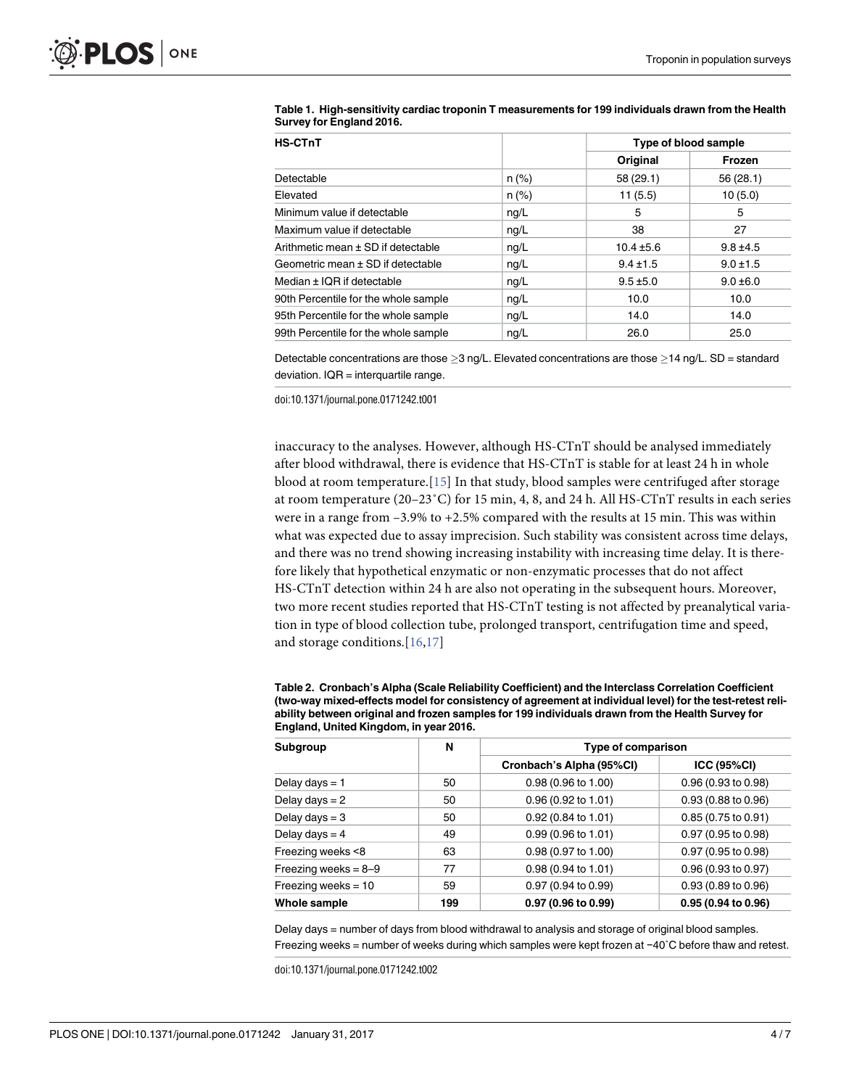| <b>HS-CTnT</b>                       |          |                | Type of blood sample |  |
|--------------------------------------|----------|----------------|----------------------|--|
|                                      |          | Original       | Frozen               |  |
| Detectable                           | $n (\%)$ | 58 (29.1)      | 56 (28.1)            |  |
| Elevated                             | $n (\%)$ | 11(5.5)        | 10(5.0)              |  |
| Minimum value if detectable          | ng/L     | 5              | 5                    |  |
| Maximum value if detectable          | ng/L     | 38             | 27                   |  |
| Arithmetic mean ± SD if detectable   | ng/L     | $10.4 \pm 5.6$ | $9.8 \pm 4.5$        |  |
| Geometric mean ± SD if detectable    | nq/L     | $9.4 \pm 1.5$  | $9.0 \pm 1.5$        |  |
| Median $\pm$ IQR if detectable       | nq/L     | $9.5 \pm 5.0$  | $9.0 \pm 6.0$        |  |
| 90th Percentile for the whole sample | ng/L     | 10.0           | 10.0                 |  |
| 95th Percentile for the whole sample | nq/L     | 14.0           | 14.0                 |  |
| 99th Percentile for the whole sample | ng/L     | 26.0           | 25.0                 |  |

#### <span id="page-3-0"></span>**[Table](#page-2-0) 1. High-sensitivity cardiac troponin T measurements for 199 individuals drawn from the Health Survey for England 2016.**

Detectable concentrations are those  $>3$  ng/L. Elevated concentrations are those  $>14$  ng/L. SD = standard deviation. IQR = interquartile range.

doi:10.1371/journal.pone.0171242.t001

inaccuracy to the analyses. However, although HS-CTnT should be analysed immediately after blood withdrawal, there is evidence that HS-CTnT is stable for at least 24 h in whole blood at room temperature.[[15\]](#page-6-0) In that study, blood samples were centrifuged after storage at room temperature (20–23˚C) for 15 min, 4, 8, and 24 h. All HS-CTnT results in each series were in a range from  $-3.9\%$  to  $+2.5\%$  compared with the results at 15 min. This was within what was expected due to assay imprecision. Such stability was consistent across time delays, and there was no trend showing increasing instability with increasing time delay. It is therefore likely that hypothetical enzymatic or non-enzymatic processes that do not affect HS-CTnT detection within 24 h are also not operating in the subsequent hours. Moreover, two more recent studies reported that HS-CTnT testing is not affected by preanalytical variation in type of blood collection tube, prolonged transport, centrifugation time and speed, and storage conditions.[\[16,17\]](#page-6-0)

| Table 2. Cronbach's Alpha (Scale Reliability Coefficient) and the Interclass Correlation Coefficient     |
|----------------------------------------------------------------------------------------------------------|
| (two-way mixed-effects model for consistency of agreement at individual level) for the test-retest reli- |
| ability between original and frozen samples for 199 individuals drawn from the Health Survey for         |
| England, United Kingdom, in year 2016.                                                                   |

| Subgroup               | N   | <b>Type of comparison</b>     |                          |  |
|------------------------|-----|-------------------------------|--------------------------|--|
|                        |     | Cronbach's Alpha (95%CI)      | <b>ICC (95%CI)</b>       |  |
| Delay days = 1         | 50  | 0.98 (0.96 to 1.00)           | 0.96 (0.93 to 0.98)      |  |
| Delay days $= 2$       | 50  | 0.96(0.92 to 1.01)            | 0.93 (0.88 to 0.96)      |  |
| Delay days $=$ 3       | 50  | $0.92(0.84 \text{ to } 1.01)$ | $0.85(0.75)$ to $0.91$ ) |  |
| Delay days $=$ 4       | 49  | $0.99(0.96 \text{ to } 1.01)$ | 0.97 (0.95 to 0.98)      |  |
| Freezing weeks <8      | 63  | 0.98 (0.97 to 1.00)           | 0.97 (0.95 to 0.98)      |  |
| Freezing weeks = $8-9$ | 77  | $0.98(0.94 \text{ to } 1.01)$ | 0.96 (0.93 to 0.97)      |  |
| Freezing weeks $= 10$  | 59  | 0.97 (0.94 to 0.99)           | 0.93 (0.89 to 0.96)      |  |
| Whole sample           | 199 | 0.97 (0.96 to 0.99)           | 0.95 (0.94 to 0.96)      |  |

Delay days = number of days from blood withdrawal to analysis and storage of original blood samples. Freezing weeks = number of weeks during which samples were kept frozen at −40˚C before thaw and retest.

doi:10.1371/journal.pone.0171242.t002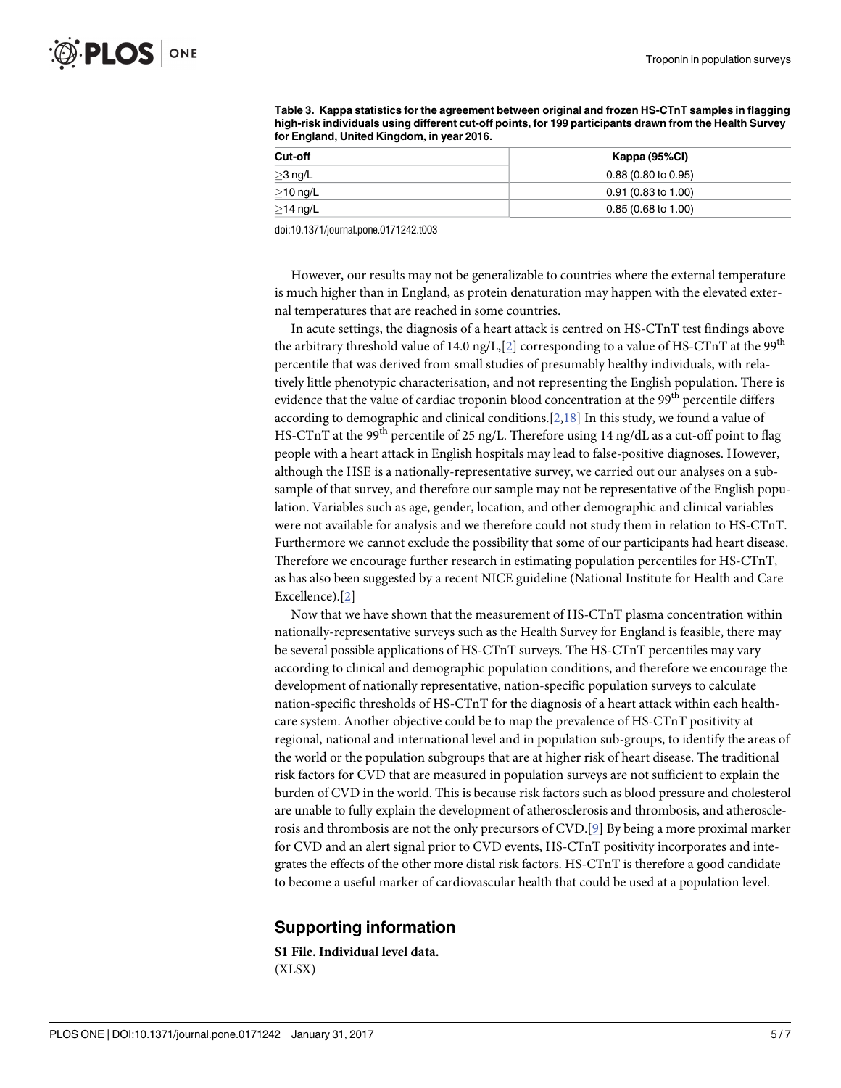| Cut-off        | Kappa (95%CI)                 |  |  |
|----------------|-------------------------------|--|--|
| $\geq$ 3 ng/L  | $0.88(0.80 \text{ to } 0.95)$ |  |  |
| $\geq$ 10 ng/L | $0.91(0.83 \text{ to } 1.00)$ |  |  |
| $\geq$ 14 ng/L | $0.85(0.68 \text{ to } 1.00)$ |  |  |

<span id="page-4-0"></span>**[Table](#page-2-0) 3. Kappa statistics for the agreement between original and frozen HS-CTnT samples in flagging high-risk individuals using different cut-off points, for 199 participants drawn from the Health Survey for England, United Kingdom, in year 2016.**

doi:10.1371/journal.pone.0171242.t003

However, our results may not be generalizable to countries where the external temperature is much higher than in England, as protein denaturation may happen with the elevated external temperatures that are reached in some countries.

In acute settings, the diagnosis of a heart attack is centred on HS-CTnT test findings above the arbitrary threshold value of 14.0 ng/L, $[2]$  $[2]$  $[2]$  corresponding to a value of HS-CTnT at the 99<sup>th</sup> percentile that was derived from small studies of presumably healthy individuals, with relatively little phenotypic characterisation, and not representing the English population. There is evidence that the value of cardiac troponin blood concentration at the 99<sup>th</sup> percentile differs according to demographic and clinical conditions. $[2,18]$  $[2,18]$  In this study, we found a value of HS-CTnT at the 99<sup>th</sup> percentile of 25 ng/L. Therefore using 14 ng/dL as a cut-off point to flag people with a heart attack in English hospitals may lead to false-positive diagnoses. However, although the HSE is a nationally-representative survey, we carried out our analyses on a subsample of that survey, and therefore our sample may not be representative of the English population. Variables such as age, gender, location, and other demographic and clinical variables were not available for analysis and we therefore could not study them in relation to HS-CTnT. Furthermore we cannot exclude the possibility that some of our participants had heart disease. Therefore we encourage further research in estimating population percentiles for HS-CTnT, as has also been suggested by a recent NICE guideline (National Institute for Health and Care Excellence).[[2\]](#page-5-0)

Now that we have shown that the measurement of HS-CTnT plasma concentration within nationally-representative surveys such as the Health Survey for England is feasible, there may be several possible applications of HS-CTnT surveys. The HS-CTnT percentiles may vary according to clinical and demographic population conditions, and therefore we encourage the development of nationally representative, nation-specific population surveys to calculate nation-specific thresholds of HS-CTnT for the diagnosis of a heart attack within each healthcare system. Another objective could be to map the prevalence of HS-CTnT positivity at regional, national and international level and in population sub-groups, to identify the areas of the world or the population subgroups that are at higher risk of heart disease. The traditional risk factors for CVD that are measured in population surveys are not sufficient to explain the burden of CVD in the world. This is because risk factors such as blood pressure and cholesterol are unable to fully explain the development of atherosclerosis and thrombosis, and atherosclerosis and thrombosis are not the only precursors of CVD.[\[9](#page-6-0)] By being a more proximal marker for CVD and an alert signal prior to CVD events, HS-CTnT positivity incorporates and integrates the effects of the other more distal risk factors. HS-CTnT is therefore a good candidate to become a useful marker of cardiovascular health that could be used at a population level.

#### **Supporting information**

**S1 [File.](http://www.plosone.org/article/fetchSingleRepresentation.action?uri=info:doi/10.1371/journal.pone.0171242.s001) Individual level data.** (XLSX)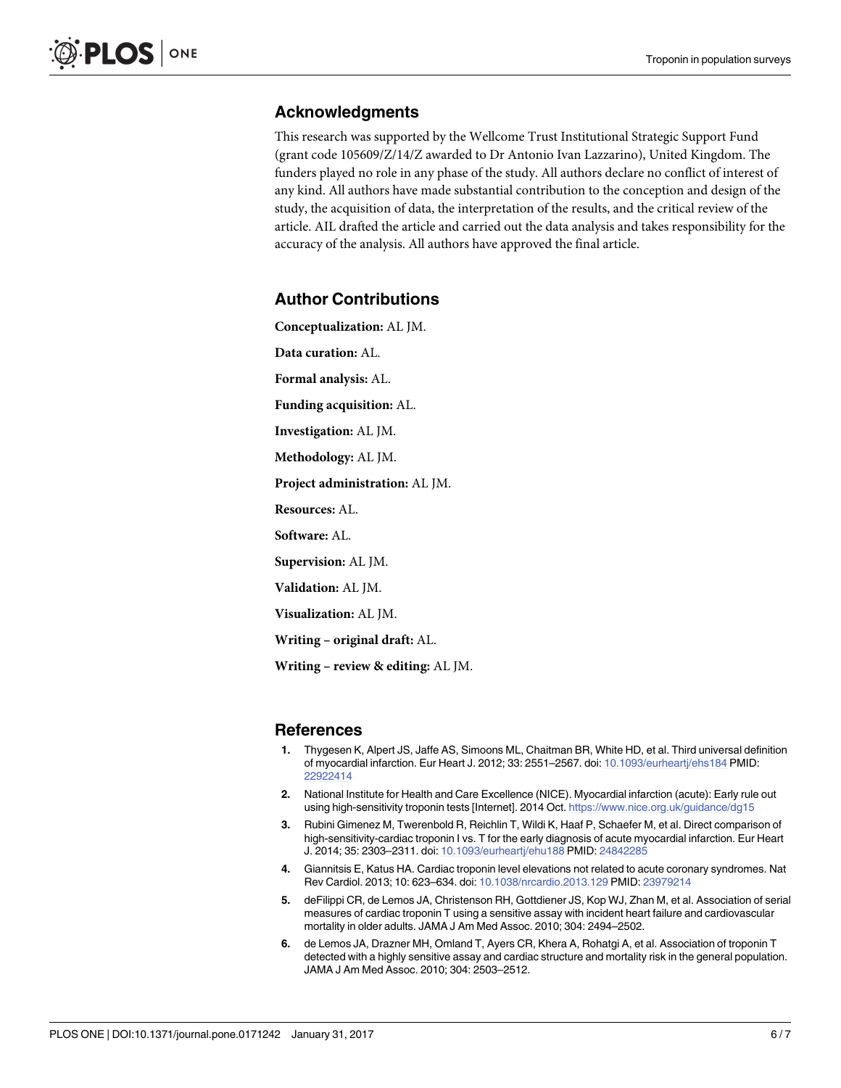# <span id="page-5-0"></span>**Acknowledgments**

This research was supported by the Wellcome Trust Institutional Strategic Support Fund (grant code 105609/Z/14/Z awarded to Dr Antonio Ivan Lazzarino), United Kingdom. The funders played no role in any phase of the study. All authors declare no conflict of interest of any kind. All authors have made substantial contribution to the conception and design of the study, the acquisition of data, the interpretation of the results, and the critical review of the article. AIL drafted the article and carried out the data analysis and takes responsibility for the accuracy of the analysis. All authors have approved the final article.

# **Author Contributions**

**Conceptualization:** AL JM.

**Data curation:** AL.

**Formal analysis:** AL.

**Funding acquisition:** AL.

**Investigation:** AL JM.

**Methodology:** AL JM.

**Project administration:** AL JM.

**Resources:** AL.

**Software:** AL.

**Supervision:** AL JM.

**Validation:** AL JM.

**Visualization:** AL JM.

**Writing – original draft:** AL.

**Writing – review & editing:** AL JM.

#### **References**

- **[1](#page-1-0).** Thygesen K, Alpert JS, Jaffe AS, Simoons ML, Chaitman BR, White HD, et al. Third universal definition of myocardial infarction. Eur Heart J. 2012; 33: 2551–2567. doi: [10.1093/eurheartj/ehs184](http://dx.doi.org/10.1093/eurheartj/ehs184) PMID: [22922414](http://www.ncbi.nlm.nih.gov/pubmed/22922414)
- **[2](#page-1-0).** National Institute for Health and Care Excellence (NICE). Myocardial infarction (acute): Early rule out using high-sensitivity troponin tests [Internet]. 2014 Oct. <https://www.nice.org.uk/guidance/dg15>
- **[3](#page-1-0).** Rubini Gimenez M, Twerenbold R, Reichlin T, Wildi K, Haaf P, Schaefer M, et al. Direct comparison of high-sensitivity-cardiac troponin I vs. T for the early diagnosis of acute myocardial infarction. Eur Heart J. 2014; 35: 2303–2311. doi: [10.1093/eurheartj/ehu188](http://dx.doi.org/10.1093/eurheartj/ehu188) PMID: [24842285](http://www.ncbi.nlm.nih.gov/pubmed/24842285)
- **[4](#page-1-0).** Giannitsis E, Katus HA. Cardiac troponin level elevations not related to acute coronary syndromes. Nat Rev Cardiol. 2013; 10: 623–634. doi: [10.1038/nrcardio.2013.129](http://dx.doi.org/10.1038/nrcardio.2013.129) PMID: [23979214](http://www.ncbi.nlm.nih.gov/pubmed/23979214)
- **[5](#page-1-0).** deFilippi CR, de Lemos JA, Christenson RH, Gottdiener JS, Kop WJ, Zhan M, et al. Association of serial measures of cardiac troponin T using a sensitive assay with incident heart failure and cardiovascular mortality in older adults. JAMA J Am Med Assoc. 2010; 304: 2494–2502.
- **[6](#page-1-0).** de Lemos JA, Drazner MH, Omland T, Ayers CR, Khera A, Rohatgi A, et al. Association of troponin T detected with a highly sensitive assay and cardiac structure and mortality risk in the general population. JAMA J Am Med Assoc. 2010; 304: 2503–2512.